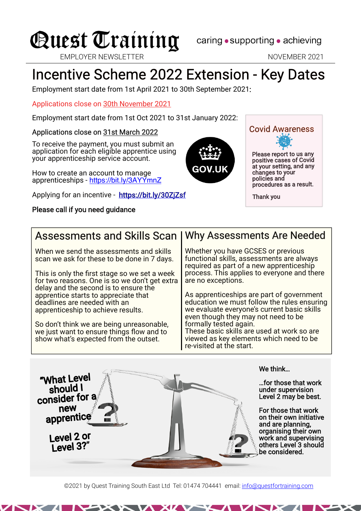

EMPLOYER NEWSLETTER NEWSLETTER NOVEMBER 2021

# Incentive Scheme 2022 Extension - Key Dates

Employment start date from 1st April 2021 to 30th September 2021:

Applications close on 30th November 2021

Employment start date from 1st Oct 2021 to 31st January 2022:

#### Applications close on 31st March 2022

To receive the payment, you must submit an application for each eligible apprentice using your apprenticeship service account.

How to create an account to manage apprenticeships - <https://bit.ly/3AYYmnZ>

Applying for an incentive - <https://bit.ly/30ZjZsf>

#### Please call if you need guidance



Please report to us any positive cases of Covid at your setting, and any Covid Awareness

changes to your policies and procedures as <sup>a</sup> result.

Thank you

#### Assessments and Skills Scan

When we send the assessments and skills scan we ask for these to be done in 7 days.

This is only the first stage so we set a week for two reasons. One is so we don't get extra delay and the second is to ensure the apprentice starts to appreciate that deadlines are needed with an apprenticeship to achieve results.

So don't think we are being unreasonable, we just want to ensure things flow and to show what's expected from the outset.

"What Level<br>should I

consider for <sup>a</sup> new apprentice

> Level 2 or Level 3?"

#### Why Assessments Are Needed

Whether you have GCSES or previous functional skills, assessments are always required as part of a new apprenticeship process. This applies to everyone and there are no exceptions.

As apprenticeships are part of government education we must follow the rules ensuring we evaluate everyone's current basic skills even though they may not need to be formally tested again.

These basic skills are used at work so are viewed as key elements which need to be re-visited at the start.

We think…

…for those that work under supervision Level 2 may be best.

For those that work on their own initiative and are planning, organising their own work and supervising others Level 3 should be considered.

©2021 by Quest Training South East Ltd Tel: 01474 704441 email: [info@questfortraining.com](mailto:info@questfortraining.com)